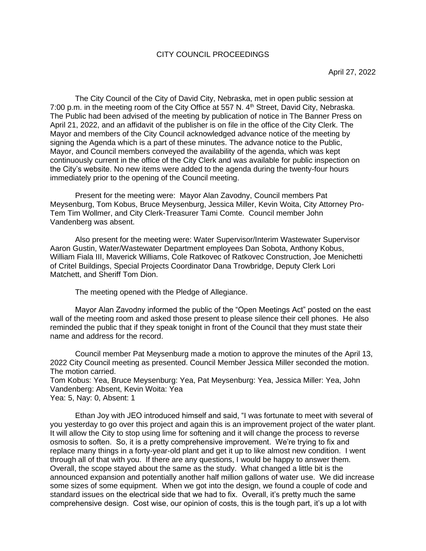### CITY COUNCIL PROCEEDINGS

The City Council of the City of David City, Nebraska, met in open public session at 7:00 p.m. in the meeting room of the City Office at 557 N. 4<sup>th</sup> Street, David City, Nebraska. The Public had been advised of the meeting by publication of notice in The Banner Press on April 21, 2022, and an affidavit of the publisher is on file in the office of the City Clerk. The Mayor and members of the City Council acknowledged advance notice of the meeting by signing the Agenda which is a part of these minutes. The advance notice to the Public, Mayor, and Council members conveyed the availability of the agenda, which was kept continuously current in the office of the City Clerk and was available for public inspection on the City's website. No new items were added to the agenda during the twenty-four hours immediately prior to the opening of the Council meeting.

Present for the meeting were: Mayor Alan Zavodny, Council members Pat Meysenburg, Tom Kobus, Bruce Meysenburg, Jessica Miller, Kevin Woita, City Attorney Pro-Tem Tim Wollmer, and City Clerk-Treasurer Tami Comte. Council member John Vandenberg was absent.

Also present for the meeting were: Water Supervisor/Interim Wastewater Supervisor Aaron Gustin, Water/Wastewater Department employees Dan Sobota, Anthony Kobus, William Fiala III, Maverick Williams, Cole Ratkovec of Ratkovec Construction, Joe Menichetti of Critel Buildings, Special Projects Coordinator Dana Trowbridge, Deputy Clerk Lori Matchett, and Sheriff Tom Dion.

The meeting opened with the Pledge of Allegiance.

Mayor Alan Zavodny informed the public of the "Open Meetings Act" posted on the east wall of the meeting room and asked those present to please silence their cell phones. He also reminded the public that if they speak tonight in front of the Council that they must state their name and address for the record.

Council member Pat Meysenburg made a motion to approve the minutes of the April 13, 2022 City Council meeting as presented. Council Member Jessica Miller seconded the motion. The motion carried. Tom Kobus: Yea, Bruce Meysenburg: Yea, Pat Meysenburg: Yea, Jessica Miller: Yea, John Vandenberg: Absent, Kevin Woita: Yea

Yea: 5, Nay: 0, Absent: 1

Ethan Joy with JEO introduced himself and said, "I was fortunate to meet with several of you yesterday to go over this project and again this is an improvement project of the water plant. It will allow the City to stop using lime for softening and it will change the process to reverse osmosis to soften. So, it is a pretty comprehensive improvement. We're trying to fix and replace many things in a forty-year-old plant and get it up to like almost new condition. I went through all of that with you. If there are any questions, I would be happy to answer them. Overall, the scope stayed about the same as the study. What changed a little bit is the announced expansion and potentially another half million gallons of water use. We did increase some sizes of some equipment. When we got into the design, we found a couple of code and standard issues on the electrical side that we had to fix. Overall, it's pretty much the same comprehensive design. Cost wise, our opinion of costs, this is the tough part, it's up a lot with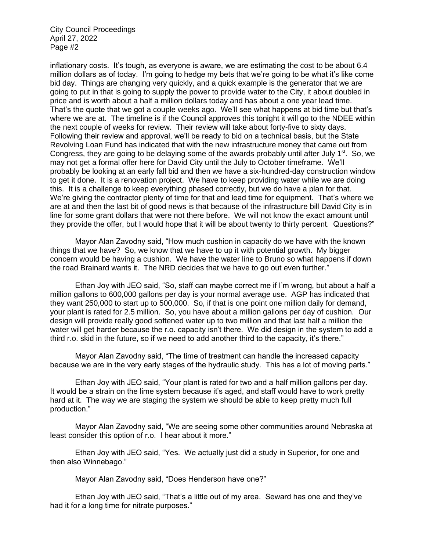inflationary costs. It's tough, as everyone is aware, we are estimating the cost to be about 6.4 million dollars as of today. I'm going to hedge my bets that we're going to be what it's like come bid day. Things are changing very quickly, and a quick example is the generator that we are going to put in that is going to supply the power to provide water to the City, it about doubled in price and is worth about a half a million dollars today and has about a one year lead time. That's the quote that we got a couple weeks ago. We'll see what happens at bid time but that's where we are at. The timeline is if the Council approves this tonight it will go to the NDEE within the next couple of weeks for review. Their review will take about forty-five to sixty days. Following their review and approval, we'll be ready to bid on a technical basis, but the State Revolving Loan Fund has indicated that with the new infrastructure money that came out from Congress, they are going to be delaying some of the awards probably until after July  $1<sup>st</sup>$ . So, we may not get a formal offer here for David City until the July to October timeframe. We'll probably be looking at an early fall bid and then we have a six-hundred-day construction window to get it done. It is a renovation project. We have to keep providing water while we are doing this. It is a challenge to keep everything phased correctly, but we do have a plan for that. We're giving the contractor plenty of time for that and lead time for equipment. That's where we are at and then the last bit of good news is that because of the infrastructure bill David City is in line for some grant dollars that were not there before. We will not know the exact amount until they provide the offer, but I would hope that it will be about twenty to thirty percent. Questions?"

Mayor Alan Zavodny said, "How much cushion in capacity do we have with the known things that we have? So, we know that we have to up it with potential growth. My bigger concern would be having a cushion. We have the water line to Bruno so what happens if down the road Brainard wants it. The NRD decides that we have to go out even further."

Ethan Joy with JEO said, "So, staff can maybe correct me if I'm wrong, but about a half a million gallons to 600,000 gallons per day is your normal average use. AGP has indicated that they want 250,000 to start up to 500,000. So, if that is one point one million daily for demand, your plant is rated for 2.5 million. So, you have about a million gallons per day of cushion. Our design will provide really good softened water up to two million and that last half a million the water will get harder because the r.o. capacity isn't there. We did design in the system to add a third r.o. skid in the future, so if we need to add another third to the capacity, it's there."

Mayor Alan Zavodny said, "The time of treatment can handle the increased capacity because we are in the very early stages of the hydraulic study. This has a lot of moving parts."

Ethan Joy with JEO said, "Your plant is rated for two and a half million gallons per day. It would be a strain on the lime system because it's aged, and staff would have to work pretty hard at it. The way we are staging the system we should be able to keep pretty much full production."

Mayor Alan Zavodny said, "We are seeing some other communities around Nebraska at least consider this option of r.o. I hear about it more."

Ethan Joy with JEO said, "Yes. We actually just did a study in Superior, for one and then also Winnebago."

Mayor Alan Zavodny said, "Does Henderson have one?"

Ethan Joy with JEO said, "That's a little out of my area. Seward has one and they've had it for a long time for nitrate purposes."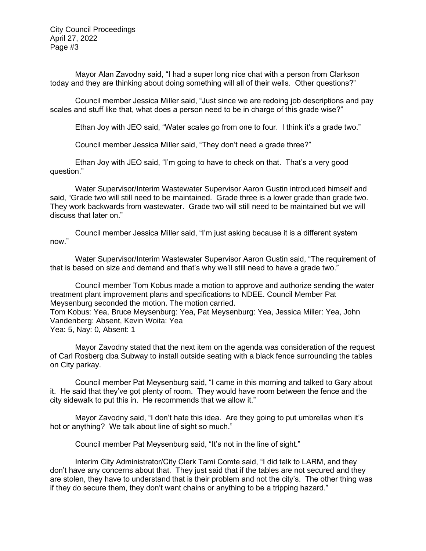Mayor Alan Zavodny said, "I had a super long nice chat with a person from Clarkson today and they are thinking about doing something will all of their wells. Other questions?"

Council member Jessica Miller said, "Just since we are redoing job descriptions and pay scales and stuff like that, what does a person need to be in charge of this grade wise?"

Ethan Joy with JEO said, "Water scales go from one to four. I think it's a grade two."

Council member Jessica Miller said, "They don't need a grade three?"

Ethan Joy with JEO said, "I'm going to have to check on that. That's a very good question."

Water Supervisor/Interim Wastewater Supervisor Aaron Gustin introduced himself and said, "Grade two will still need to be maintained. Grade three is a lower grade than grade two. They work backwards from wastewater. Grade two will still need to be maintained but we will discuss that later on."

Council member Jessica Miller said, "I'm just asking because it is a different system now."

Water Supervisor/Interim Wastewater Supervisor Aaron Gustin said, "The requirement of that is based on size and demand and that's why we'll still need to have a grade two."

Council member Tom Kobus made a motion to approve and authorize sending the water treatment plant improvement plans and specifications to NDEE. Council Member Pat Meysenburg seconded the motion. The motion carried.

Tom Kobus: Yea, Bruce Meysenburg: Yea, Pat Meysenburg: Yea, Jessica Miller: Yea, John Vandenberg: Absent, Kevin Woita: Yea

Yea: 5, Nay: 0, Absent: 1

Mayor Zavodny stated that the next item on the agenda was consideration of the request of Carl Rosberg dba Subway to install outside seating with a black fence surrounding the tables on City parkay.

Council member Pat Meysenburg said, "I came in this morning and talked to Gary about it. He said that they've got plenty of room. They would have room between the fence and the city sidewalk to put this in. He recommends that we allow it."

Mayor Zavodny said, "I don't hate this idea. Are they going to put umbrellas when it's hot or anything? We talk about line of sight so much."

Council member Pat Meysenburg said, "It's not in the line of sight."

Interim City Administrator/City Clerk Tami Comte said, "I did talk to LARM, and they don't have any concerns about that. They just said that if the tables are not secured and they are stolen, they have to understand that is their problem and not the city's. The other thing was if they do secure them, they don't want chains or anything to be a tripping hazard."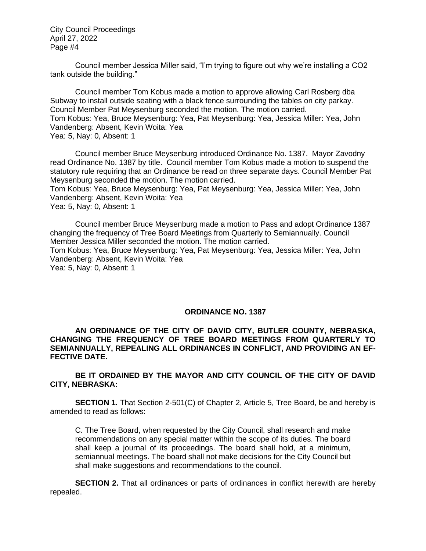Council member Jessica Miller said, "I'm trying to figure out why we're installing a CO2 tank outside the building."

Council member Tom Kobus made a motion to approve allowing Carl Rosberg dba Subway to install outside seating with a black fence surrounding the tables on city parkay. Council Member Pat Meysenburg seconded the motion. The motion carried. Tom Kobus: Yea, Bruce Meysenburg: Yea, Pat Meysenburg: Yea, Jessica Miller: Yea, John Vandenberg: Absent, Kevin Woita: Yea Yea: 5, Nay: 0, Absent: 1

Council member Bruce Meysenburg introduced Ordinance No. 1387. Mayor Zavodny read Ordinance No. 1387 by title. Council member Tom Kobus made a motion to suspend the statutory rule requiring that an Ordinance be read on three separate days. Council Member Pat Meysenburg seconded the motion. The motion carried.

Tom Kobus: Yea, Bruce Meysenburg: Yea, Pat Meysenburg: Yea, Jessica Miller: Yea, John Vandenberg: Absent, Kevin Woita: Yea

Yea: 5, Nay: 0, Absent: 1

Council member Bruce Meysenburg made a motion to Pass and adopt Ordinance 1387 changing the frequency of Tree Board Meetings from Quarterly to Semiannually. Council Member Jessica Miller seconded the motion. The motion carried. Tom Kobus: Yea, Bruce Meysenburg: Yea, Pat Meysenburg: Yea, Jessica Miller: Yea, John Vandenberg: Absent, Kevin Woita: Yea Yea: 5, Nay: 0, Absent: 1

#### **ORDINANCE NO. 1387**

#### **AN ORDINANCE OF THE CITY OF DAVID CITY, BUTLER COUNTY, NEBRASKA, CHANGING THE FREQUENCY OF TREE BOARD MEETINGS FROM QUARTERLY TO SEMIANNUALLY, REPEALING ALL ORDINANCES IN CONFLICT, AND PROVIDING AN EF-FECTIVE DATE.**

**BE IT ORDAINED BY THE MAYOR AND CITY COUNCIL OF THE CITY OF DAVID CITY, NEBRASKA:**

**SECTION 1.** That Section 2-501(C) of Chapter 2, Article 5, Tree Board, be and hereby is amended to read as follows:

C. The Tree Board, when requested by the City Council, shall research and make recommendations on any special matter within the scope of its duties. The board shall keep a journal of its proceedings. The board shall hold, at a minimum, semiannual meetings. The board shall not make decisions for the City Council but shall make suggestions and recommendations to the council.

**SECTION 2.** That all ordinances or parts of ordinances in conflict herewith are hereby repealed.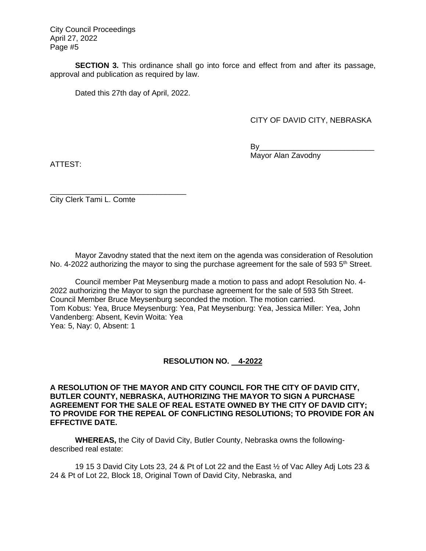**SECTION 3.** This ordinance shall go into force and effect from and after its passage, approval and publication as required by law.

Dated this 27th day of April, 2022.

## CITY OF DAVID CITY, NEBRASKA

By\_\_\_\_\_\_\_\_\_\_\_\_\_\_\_\_\_\_\_\_\_\_\_\_\_\_\_ Mayor Alan Zavodny

ATTEST:

\_\_\_\_\_\_\_\_\_\_\_\_\_\_\_\_\_\_\_\_\_\_\_\_\_\_\_\_\_\_\_\_ City Clerk Tami L. Comte

Mayor Zavodny stated that the next item on the agenda was consideration of Resolution No. 4-2022 authorizing the mayor to sing the purchase agreement for the sale of 593  $5<sup>th</sup>$  Street.

Council member Pat Meysenburg made a motion to pass and adopt Resolution No. 4- 2022 authorizing the Mayor to sign the purchase agreement for the sale of 593 5th Street. Council Member Bruce Meysenburg seconded the motion. The motion carried. Tom Kobus: Yea, Bruce Meysenburg: Yea, Pat Meysenburg: Yea, Jessica Miller: Yea, John Vandenberg: Absent, Kevin Woita: Yea Yea: 5, Nay: 0, Absent: 1

## **RESOLUTION NO. 4-2022**

**A RESOLUTION OF THE MAYOR AND CITY COUNCIL FOR THE CITY OF DAVID CITY, BUTLER COUNTY, NEBRASKA, AUTHORIZING THE MAYOR TO SIGN A PURCHASE AGREEMENT FOR THE SALE OF REAL ESTATE OWNED BY THE CITY OF DAVID CITY; TO PROVIDE FOR THE REPEAL OF CONFLICTING RESOLUTIONS; TO PROVIDE FOR AN EFFECTIVE DATE.**

**WHEREAS,** the City of David City, Butler County, Nebraska owns the followingdescribed real estate:

19 15 3 David City Lots 23, 24 & Pt of Lot 22 and the East ½ of Vac Alley Adj Lots 23 & 24 & Pt of Lot 22, Block 18, Original Town of David City, Nebraska, and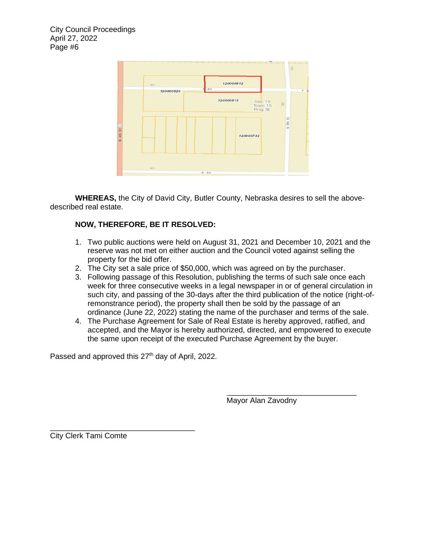

**WHEREAS,** the City of David City, Butler County, Nebraska desires to sell the abovedescribed real estate.

# **NOW, THEREFORE, BE IT RESOLVED:**

- 1. Two public auctions were held on August 31, 2021 and December 10, 2021 and the reserve was not met on either auction and the Council voted against selling the property for the bid offer.
- 2. The City set a sale price of \$50,000, which was agreed on by the purchaser.

 $\frac{1}{\sqrt{2\pi}}$  , and the contract of  $\frac{1}{\sqrt{2\pi}}$  , and  $\frac{1}{\sqrt{2\pi}}$  , and  $\frac{1}{\sqrt{2\pi}}$  , and  $\frac{1}{\sqrt{2\pi}}$ 

- 3. Following passage of this Resolution, publishing the terms of such sale once each week for three consecutive weeks in a legal newspaper in or of general circulation in such city, and passing of the 30-days after the third publication of the notice (right-ofremonstrance period), the property shall then be sold by the passage of an ordinance (June 22, 2022) stating the name of the purchaser and terms of the sale.
- 4. The Purchase Agreement for Sale of Real Estate is hereby approved, ratified, and accepted, and the Mayor is hereby authorized, directed, and empowered to execute the same upon receipt of the executed Purchase Agreement by the buyer.

Passed and approved this 27<sup>th</sup> day of April, 2022.

Mayor Alan Zavodny

 $\_$ City Clerk Tami Comte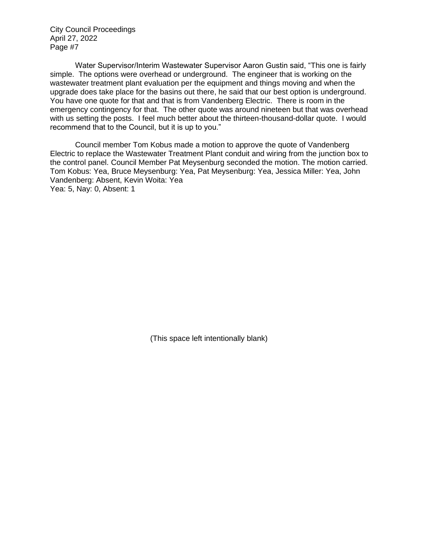Water Supervisor/Interim Wastewater Supervisor Aaron Gustin said, "This one is fairly simple. The options were overhead or underground. The engineer that is working on the wastewater treatment plant evaluation per the equipment and things moving and when the upgrade does take place for the basins out there, he said that our best option is underground. You have one quote for that and that is from Vandenberg Electric. There is room in the emergency contingency for that. The other quote was around nineteen but that was overhead with us setting the posts. I feel much better about the thirteen-thousand-dollar quote. I would recommend that to the Council, but it is up to you."

Council member Tom Kobus made a motion to approve the quote of Vandenberg Electric to replace the Wastewater Treatment Plant conduit and wiring from the junction box to the control panel. Council Member Pat Meysenburg seconded the motion. The motion carried. Tom Kobus: Yea, Bruce Meysenburg: Yea, Pat Meysenburg: Yea, Jessica Miller: Yea, John Vandenberg: Absent, Kevin Woita: Yea Yea: 5, Nay: 0, Absent: 1

(This space left intentionally blank)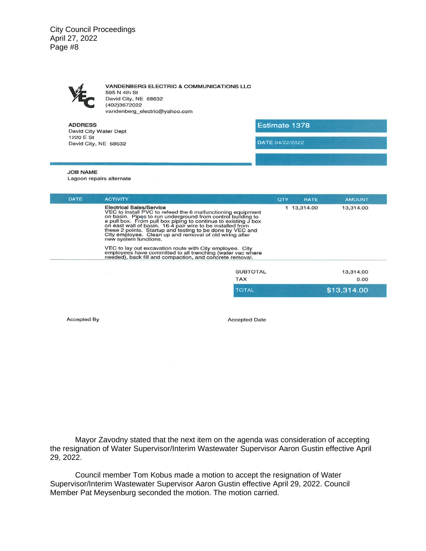**VANDENBERG ELECTRIC & COMMUNICATIONS LLC** 595 N 4th St David City, NE 68632 (402)3672022 vandenberg\_electric@yahoo.com

**ADDRESS** David City Water Dept 1220 E St David City, NE 68632

Estimate 1378

DATE 04/22/2022

#### **JOB NAME**

Lagoon repairs alternate

| <b>DATE</b> | <b>ACTIVITY</b>                                                                                                                                                                                                                                                                                                                                                                                                                         | QTY             | <b>RATE</b> | <b>AMOUNT</b> |
|-------------|-----------------------------------------------------------------------------------------------------------------------------------------------------------------------------------------------------------------------------------------------------------------------------------------------------------------------------------------------------------------------------------------------------------------------------------------|-----------------|-------------|---------------|
|             | Electrical Sales/Service<br>VEC to install PVC to refeed the 6 malfunctioning equipment<br>on basin. Pipes to run underground from control building to<br>a pull box. From pull box piping to continue to existing J box<br>on east wall of basin. 16-4 pair wire to be installed from<br>these 2 points. Startup and testing to be done by VEC and<br>City employee. Clean up and removal of old wiring after<br>new system functions. |                 | 1 13,314.00 | 13,314.00     |
|             | VEC to lay out excavation route with City employee. City<br>employees have committed to all trenching (water vac where<br>needed), back fill and compaction, and concrete removal.                                                                                                                                                                                                                                                      |                 |             |               |
|             |                                                                                                                                                                                                                                                                                                                                                                                                                                         | <b>SUBTOTAL</b> |             | 13,314.00     |
|             |                                                                                                                                                                                                                                                                                                                                                                                                                                         | <b>TAX</b>      |             | 0.00          |
|             |                                                                                                                                                                                                                                                                                                                                                                                                                                         | <b>TOTAL</b>    |             | \$13,314.00   |

Accepted By

**Accepted Date** 

Mayor Zavodny stated that the next item on the agenda was consideration of accepting the resignation of Water Supervisor/Interim Wastewater Supervisor Aaron Gustin effective April 29, 2022.

Council member Tom Kobus made a motion to accept the resignation of Water Supervisor/Interim Wastewater Supervisor Aaron Gustin effective April 29, 2022. Council Member Pat Meysenburg seconded the motion. The motion carried.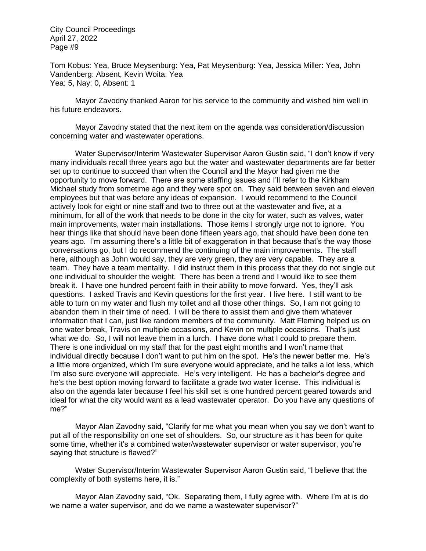Tom Kobus: Yea, Bruce Meysenburg: Yea, Pat Meysenburg: Yea, Jessica Miller: Yea, John Vandenberg: Absent, Kevin Woita: Yea Yea: 5, Nay: 0, Absent: 1

Mayor Zavodny thanked Aaron for his service to the community and wished him well in his future endeavors.

Mayor Zavodny stated that the next item on the agenda was consideration/discussion concerning water and wastewater operations.

Water Supervisor/Interim Wastewater Supervisor Aaron Gustin said, "I don't know if very many individuals recall three years ago but the water and wastewater departments are far better set up to continue to succeed than when the Council and the Mayor had given me the opportunity to move forward. There are some staffing issues and I'll refer to the Kirkham Michael study from sometime ago and they were spot on. They said between seven and eleven employees but that was before any ideas of expansion. I would recommend to the Council actively look for eight or nine staff and two to three out at the wastewater and five, at a minimum, for all of the work that needs to be done in the city for water, such as valves, water main improvements, water main installations. Those items I strongly urge not to ignore. You hear things like that should have been done fifteen years ago, that should have been done ten years ago. I'm assuming there's a little bit of exaggeration in that because that's the way those conversations go, but I do recommend the continuing of the main improvements. The staff here, although as John would say, they are very green, they are very capable. They are a team. They have a team mentality. I did instruct them in this process that they do not single out one individual to shoulder the weight. There has been a trend and I would like to see them break it. I have one hundred percent faith in their ability to move forward. Yes, they'll ask questions. I asked Travis and Kevin questions for the first year. I live here. I still want to be able to turn on my water and flush my toilet and all those other things. So, I am not going to abandon them in their time of need. I will be there to assist them and give them whatever information that I can, just like random members of the community. Matt Fleming helped us on one water break, Travis on multiple occasions, and Kevin on multiple occasions. That's just what we do. So, I will not leave them in a lurch. I have done what I could to prepare them. There is one individual on my staff that for the past eight months and I won't name that individual directly because I don't want to put him on the spot. He's the newer better me. He's a little more organized, which I'm sure everyone would appreciate, and he talks a lot less, which I'm also sure everyone will appreciate. He's very intelligent. He has a bachelor's degree and he's the best option moving forward to facilitate a grade two water license. This individual is also on the agenda later because I feel his skill set is one hundred percent geared towards and ideal for what the city would want as a lead wastewater operator. Do you have any questions of me?"

Mayor Alan Zavodny said, "Clarify for me what you mean when you say we don't want to put all of the responsibility on one set of shoulders. So, our structure as it has been for quite some time, whether it's a combined water/wastewater supervisor or water supervisor, you're saying that structure is flawed?"

Water Supervisor/Interim Wastewater Supervisor Aaron Gustin said, "I believe that the complexity of both systems here, it is."

Mayor Alan Zavodny said, "Ok. Separating them, I fully agree with. Where I'm at is do we name a water supervisor, and do we name a wastewater supervisor?"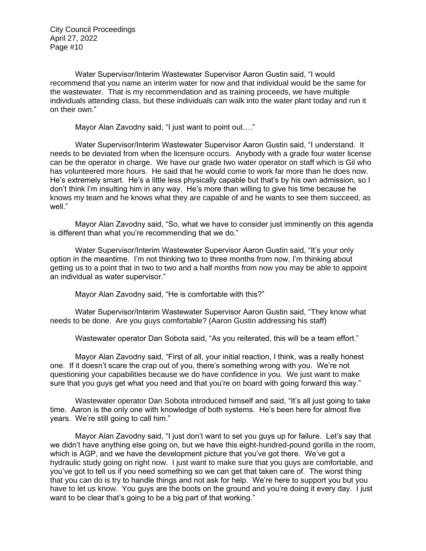Water Supervisor/Interim Wastewater Supervisor Aaron Gustin said, "I would recommend that you name an interim water for now and that individual would be the same for the wastewater. That is my recommendation and as training proceeds, we have multiple individuals attending class, but these individuals can walk into the water plant today and run it on their own."

Mayor Alan Zavodny said, "I just want to point out…."

Water Supervisor/Interim Wastewater Supervisor Aaron Gustin said, "I understand. It needs to be deviated from when the licensure occurs. Anybody with a grade four water license can be the operator in charge. We have our grade two water operator on staff which is Gil who has volunteered more hours. He said that he would come to work far more than he does now. He's extremely smart. He's a little less physically capable but that's by his own admission, so I don't think I'm insulting him in any way. He's more than willing to give his time because he knows my team and he knows what they are capable of and he wants to see them succeed, as well."

Mayor Alan Zavodny said, "So, what we have to consider just imminently on this agenda is different than what you're recommending that we do."

Water Supervisor/Interim Wastewater Supervisor Aaron Gustin said, "It's your only option in the meantime. I'm not thinking two to three months from now, I'm thinking about getting us to a point that in two to two and a half months from now you may be able to appoint an individual as water supervisor."

Mayor Alan Zavodny said, "He is comfortable with this?"

Water Supervisor/Interim Wastewater Supervisor Aaron Gustin said, "They know what needs to be done. Are you guys comfortable? (Aaron Gustin addressing his staff)

Wastewater operator Dan Sobota said, "As you reiterated, this will be a team effort."

Mayor Alan Zavodny said, "First of all, your initial reaction, I think, was a really honest one. If it doesn't scare the crap out of you, there's something wrong with you. We're not questioning your capabilities because we do have confidence in you. We just want to make sure that you guys get what you need and that you're on board with going forward this way."

Wastewater operator Dan Sobota introduced himself and said, "It's all just going to take time. Aaron is the only one with knowledge of both systems. He's been here for almost five years. We're still going to call him."

Mayor Alan Zavodny said, "I just don't want to set you guys up for failure. Let's say that we didn't have anything else going on, but we have this eight-hundred-pound gorilla in the room, which is AGP, and we have the development picture that you've got there. We've got a hydraulic study going on right now. I just want to make sure that you guys are comfortable, and you've got to tell us if you need something so we can get that taken care of. The worst thing that you can do is try to handle things and not ask for help. We're here to support you but you have to let us know. You guys are the boots on the ground and you're doing it every day. I just want to be clear that's going to be a big part of that working."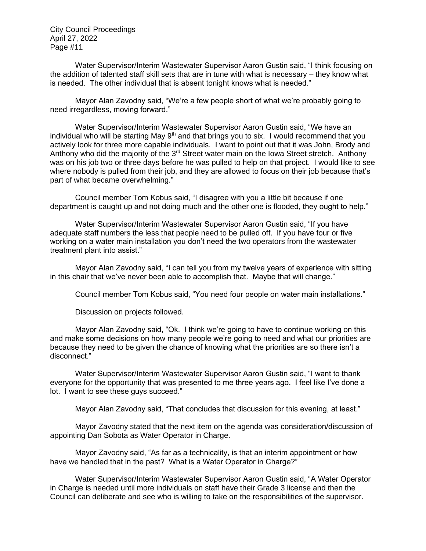Water Supervisor/Interim Wastewater Supervisor Aaron Gustin said, "I think focusing on the addition of talented staff skill sets that are in tune with what is necessary – they know what is needed. The other individual that is absent tonight knows what is needed."

Mayor Alan Zavodny said, "We're a few people short of what we're probably going to need irregardless, moving forward."

Water Supervisor/Interim Wastewater Supervisor Aaron Gustin said, "We have an individual who will be starting May  $9<sup>th</sup>$  and that brings you to six. I would recommend that you actively look for three more capable individuals. I want to point out that it was John, Brody and Anthony who did the majority of the 3<sup>rd</sup> Street water main on the Iowa Street stretch. Anthony was on his job two or three days before he was pulled to help on that project. I would like to see where nobody is pulled from their job, and they are allowed to focus on their job because that's part of what became overwhelming."

Council member Tom Kobus said, "I disagree with you a little bit because if one department is caught up and not doing much and the other one is flooded, they ought to help."

Water Supervisor/Interim Wastewater Supervisor Aaron Gustin said, "If you have adequate staff numbers the less that people need to be pulled off. If you have four or five working on a water main installation you don't need the two operators from the wastewater treatment plant into assist."

Mayor Alan Zavodny said, "I can tell you from my twelve years of experience with sitting in this chair that we've never been able to accomplish that. Maybe that will change."

Council member Tom Kobus said, "You need four people on water main installations."

Discussion on projects followed.

Mayor Alan Zavodny said, "Ok. I think we're going to have to continue working on this and make some decisions on how many people we're going to need and what our priorities are because they need to be given the chance of knowing what the priorities are so there isn't a disconnect."

Water Supervisor/Interim Wastewater Supervisor Aaron Gustin said, "I want to thank everyone for the opportunity that was presented to me three years ago. I feel like I've done a lot. I want to see these guys succeed."

Mayor Alan Zavodny said, "That concludes that discussion for this evening, at least."

Mayor Zavodny stated that the next item on the agenda was consideration/discussion of appointing Dan Sobota as Water Operator in Charge.

Mayor Zavodny said, "As far as a technicality, is that an interim appointment or how have we handled that in the past? What is a Water Operator in Charge?"

Water Supervisor/Interim Wastewater Supervisor Aaron Gustin said, "A Water Operator in Charge is needed until more individuals on staff have their Grade 3 license and then the Council can deliberate and see who is willing to take on the responsibilities of the supervisor.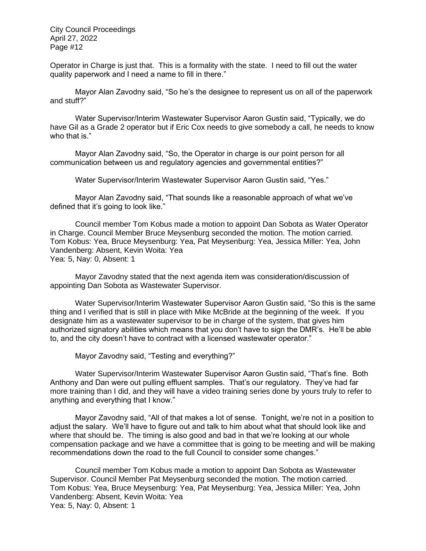Operator in Charge is just that. This is a formality with the state. I need to fill out the water quality paperwork and I need a name to fill in there."

Mayor Alan Zavodny said, "So he's the designee to represent us on all of the paperwork and stuff?"

Water Supervisor/Interim Wastewater Supervisor Aaron Gustin said, "Typically, we do have Gil as a Grade 2 operator but if Eric Cox needs to give somebody a call, he needs to know who that is."

Mayor Alan Zavodny said, "So, the Operator in charge is our point person for all communication between us and regulatory agencies and governmental entities?"

Water Supervisor/Interim Wastewater Supervisor Aaron Gustin said, "Yes."

Mayor Alan Zavodny said, "That sounds like a reasonable approach of what we've defined that it's going to look like."

Council member Tom Kobus made a motion to appoint Dan Sobota as Water Operator in Charge. Council Member Bruce Meysenburg seconded the motion. The motion carried. Tom Kobus: Yea, Bruce Meysenburg: Yea, Pat Meysenburg: Yea, Jessica Miller: Yea, John Vandenberg: Absent, Kevin Woita: Yea Yea: 5, Nay: 0, Absent: 1

Mayor Zavodny stated that the next agenda item was consideration/discussion of appointing Dan Sobota as Wastewater Supervisor.

Water Supervisor/Interim Wastewater Supervisor Aaron Gustin said, "So this is the same thing and I verified that is still in place with Mike McBride at the beginning of the week. If you designate him as a wastewater supervisor to be in charge of the system, that gives him authorized signatory abilities which means that you don't have to sign the DMR's. He'll be able to, and the city doesn't have to contract with a licensed wastewater operator."

Mayor Zavodny said, "Testing and everything?"

Water Supervisor/Interim Wastewater Supervisor Aaron Gustin said, "That's fine. Both Anthony and Dan were out pulling effluent samples. That's our regulatory. They've had far more training than I did, and they will have a video training series done by yours truly to refer to anything and everything that I know."

Mayor Zavodny said, "All of that makes a lot of sense. Tonight, we're not in a position to adjust the salary. We'll have to figure out and talk to him about what that should look like and where that should be. The timing is also good and bad in that we're looking at our whole compensation package and we have a committee that is going to be meeting and will be making recommendations down the road to the full Council to consider some changes."

Council member Tom Kobus made a motion to appoint Dan Sobota as Wastewater Supervisor. Council Member Pat Meysenburg seconded the motion. The motion carried. Tom Kobus: Yea, Bruce Meysenburg: Yea, Pat Meysenburg: Yea, Jessica Miller: Yea, John Vandenberg: Absent, Kevin Woita: Yea Yea: 5, Nay: 0, Absent: 1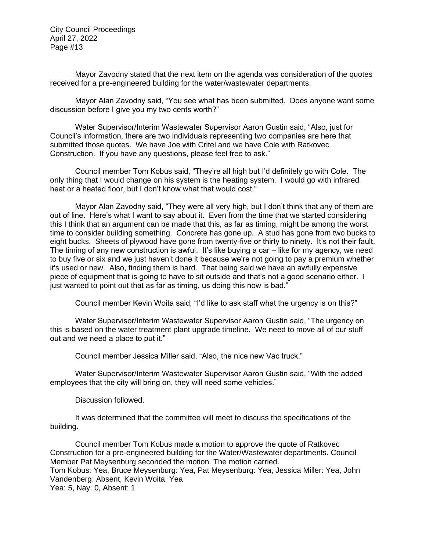Mayor Zavodny stated that the next item on the agenda was consideration of the quotes received for a pre-engineered building for the water/wastewater departments.

Mayor Alan Zavodny said, "You see what has been submitted. Does anyone want some discussion before I give you my two cents worth?"

Water Supervisor/Interim Wastewater Supervisor Aaron Gustin said, "Also, just for Council's information, there are two individuals representing two companies are here that submitted those quotes. We have Joe with Critel and we have Cole with Ratkovec Construction. If you have any questions, please feel free to ask."

Council member Tom Kobus said, "They're all high but I'd definitely go with Cole. The only thing that I would change on his system is the heating system. I would go with infrared heat or a heated floor, but I don't know what that would cost."

Mayor Alan Zavodny said, "They were all very high, but I don't think that any of them are out of line. Here's what I want to say about it. Even from the time that we started considering this I think that an argument can be made that this, as far as timing, might be among the worst time to consider building something. Concrete has gone up. A stud has gone from two bucks to eight bucks. Sheets of plywood have gone from twenty-five or thirty to ninety. It's not their fault. The timing of any new construction is awful. It's like buying a car – like for my agency, we need to buy five or six and we just haven't done it because we're not going to pay a premium whether it's used or new. Also, finding them is hard. That being said we have an awfully expensive piece of equipment that is going to have to sit outside and that's not a good scenario either. I just wanted to point out that as far as timing, us doing this now is bad."

Council member Kevin Woita said, "I'd like to ask staff what the urgency is on this?"

Water Supervisor/Interim Wastewater Supervisor Aaron Gustin said, "The urgency on this is based on the water treatment plant upgrade timeline. We need to move all of our stuff out and we need a place to put it."

Council member Jessica Miller said, "Also, the nice new Vac truck."

Water Supervisor/Interim Wastewater Supervisor Aaron Gustin said, "With the added employees that the city will bring on, they will need some vehicles."

Discussion followed.

It was determined that the committee will meet to discuss the specifications of the building.

Council member Tom Kobus made a motion to approve the quote of Ratkovec Construction for a pre-engineered building for the Water/Wastewater departments. Council Member Pat Meysenburg seconded the motion. The motion carried. Tom Kobus: Yea, Bruce Meysenburg: Yea, Pat Meysenburg: Yea, Jessica Miller: Yea, John Vandenberg: Absent, Kevin Woita: Yea Yea: 5, Nay: 0, Absent: 1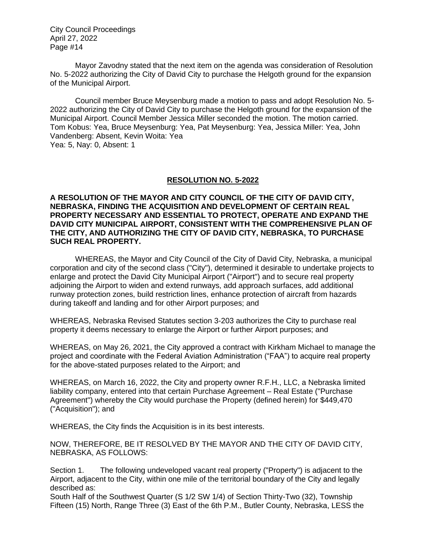Mayor Zavodny stated that the next item on the agenda was consideration of Resolution No. 5-2022 authorizing the City of David City to purchase the Helgoth ground for the expansion of the Municipal Airport.

Council member Bruce Meysenburg made a motion to pass and adopt Resolution No. 5- 2022 authorizing the City of David City to purchase the Helgoth ground for the expansion of the Municipal Airport. Council Member Jessica Miller seconded the motion. The motion carried. Tom Kobus: Yea, Bruce Meysenburg: Yea, Pat Meysenburg: Yea, Jessica Miller: Yea, John Vandenberg: Absent, Kevin Woita: Yea Yea: 5, Nay: 0, Absent: 1

### **RESOLUTION NO. 5-2022**

**A RESOLUTION OF THE MAYOR AND CITY COUNCIL OF THE CITY OF DAVID CITY, NEBRASKA, FINDING THE ACQUISITION AND DEVELOPMENT OF CERTAIN REAL PROPERTY NECESSARY AND ESSENTIAL TO PROTECT, OPERATE AND EXPAND THE DAVID CITY MUNICIPAL AIRPORT, CONSISTENT WITH THE COMPREHENSIVE PLAN OF THE CITY, AND AUTHORIZING THE CITY OF DAVID CITY, NEBRASKA, TO PURCHASE SUCH REAL PROPERTY.**

WHEREAS, the Mayor and City Council of the City of David City, Nebraska, a municipal corporation and city of the second class ("City"), determined it desirable to undertake projects to enlarge and protect the David City Municipal Airport ("Airport") and to secure real property adjoining the Airport to widen and extend runways, add approach surfaces, add additional runway protection zones, build restriction lines, enhance protection of aircraft from hazards during takeoff and landing and for other Airport purposes; and

WHEREAS, Nebraska Revised Statutes section 3-203 authorizes the City to purchase real property it deems necessary to enlarge the Airport or further Airport purposes; and

WHEREAS, on May 26, 2021, the City approved a contract with Kirkham Michael to manage the project and coordinate with the Federal Aviation Administration ("FAA") to acquire real property for the above-stated purposes related to the Airport; and

WHEREAS, on March 16, 2022, the City and property owner R.F.H., LLC, a Nebraska limited liability company, entered into that certain Purchase Agreement – Real Estate ("Purchase Agreement") whereby the City would purchase the Property (defined herein) for \$449,470 ("Acquisition"); and

WHEREAS, the City finds the Acquisition is in its best interests.

NOW, THEREFORE, BE IT RESOLVED BY THE MAYOR AND THE CITY OF DAVID CITY, NEBRASKA, AS FOLLOWS:

Section 1. The following undeveloped vacant real property ("Property") is adjacent to the Airport, adjacent to the City, within one mile of the territorial boundary of the City and legally described as:

South Half of the Southwest Quarter (S 1/2 SW 1/4) of Section Thirty-Two (32), Township Fifteen (15) North, Range Three (3) East of the 6th P.M., Butler County, Nebraska, LESS the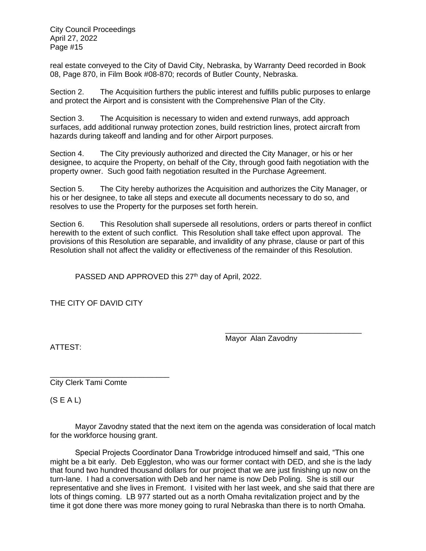real estate conveyed to the City of David City, Nebraska, by Warranty Deed recorded in Book 08, Page 870, in Film Book #08-870; records of Butler County, Nebraska.

Section 2. The Acquisition furthers the public interest and fulfills public purposes to enlarge and protect the Airport and is consistent with the Comprehensive Plan of the City.

Section 3. The Acquisition is necessary to widen and extend runways, add approach surfaces, add additional runway protection zones, build restriction lines, protect aircraft from hazards during takeoff and landing and for other Airport purposes.

Section 4. The City previously authorized and directed the City Manager, or his or her designee, to acquire the Property, on behalf of the City, through good faith negotiation with the property owner. Such good faith negotiation resulted in the Purchase Agreement.

Section 5. The City hereby authorizes the Acquisition and authorizes the City Manager, or his or her designee, to take all steps and execute all documents necessary to do so, and resolves to use the Property for the purposes set forth herein.

Section 6. This Resolution shall supersede all resolutions, orders or parts thereof in conflict herewith to the extent of such conflict. This Resolution shall take effect upon approval. The provisions of this Resolution are separable, and invalidity of any phrase, clause or part of this Resolution shall not affect the validity or effectiveness of the remainder of this Resolution.

PASSED AND APPROVED this 27<sup>th</sup> day of April, 2022.

THE CITY OF DAVID CITY

\_\_\_\_\_\_\_\_\_\_\_\_\_\_\_\_\_\_\_\_\_\_\_\_\_\_\_\_\_\_\_\_ Mayor Alan Zavodny

ATTEST:

\_\_\_\_\_\_\_\_\_\_\_\_\_\_\_\_\_\_\_\_\_\_\_\_\_\_\_\_ City Clerk Tami Comte

 $(S E A L)$ 

Mayor Zavodny stated that the next item on the agenda was consideration of local match for the workforce housing grant.

Special Projects Coordinator Dana Trowbridge introduced himself and said, "This one might be a bit early. Deb Eggleston, who was our former contact with DED, and she is the lady that found two hundred thousand dollars for our project that we are just finishing up now on the turn-lane. I had a conversation with Deb and her name is now Deb Poling. She is still our representative and she lives in Fremont. I visited with her last week, and she said that there are lots of things coming. LB 977 started out as a north Omaha revitalization project and by the time it got done there was more money going to rural Nebraska than there is to north Omaha.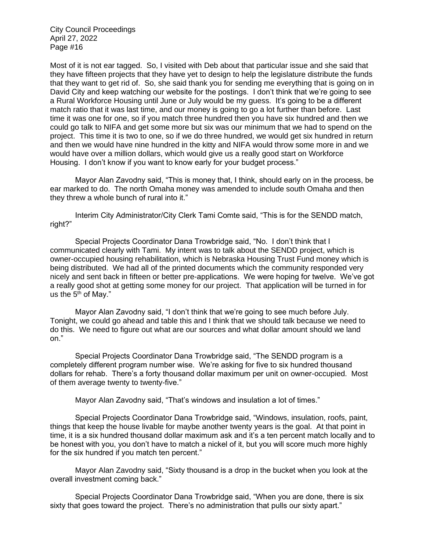Most of it is not ear tagged. So, I visited with Deb about that particular issue and she said that they have fifteen projects that they have yet to design to help the legislature distribute the funds that they want to get rid of. So, she said thank you for sending me everything that is going on in David City and keep watching our website for the postings. I don't think that we're going to see a Rural Workforce Housing until June or July would be my guess. It's going to be a different match ratio that it was last time, and our money is going to go a lot further than before. Last time it was one for one, so if you match three hundred then you have six hundred and then we could go talk to NIFA and get some more but six was our minimum that we had to spend on the project. This time it is two to one, so if we do three hundred, we would get six hundred in return and then we would have nine hundred in the kitty and NIFA would throw some more in and we would have over a million dollars, which would give us a really good start on Workforce Housing. I don't know if you want to know early for your budget process."

Mayor Alan Zavodny said, "This is money that, I think, should early on in the process, be ear marked to do. The north Omaha money was amended to include south Omaha and then they threw a whole bunch of rural into it."

Interim City Administrator/City Clerk Tami Comte said, "This is for the SENDD match, right?"

Special Projects Coordinator Dana Trowbridge said, "No. I don't think that I communicated clearly with Tami. My intent was to talk about the SENDD project, which is owner-occupied housing rehabilitation, which is Nebraska Housing Trust Fund money which is being distributed. We had all of the printed documents which the community responded very nicely and sent back in fifteen or better pre-applications. We were hoping for twelve. We've got a really good shot at getting some money for our project. That application will be turned in for us the  $5<sup>th</sup>$  of May."

Mayor Alan Zavodny said, "I don't think that we're going to see much before July. Tonight, we could go ahead and table this and I think that we should talk because we need to do this. We need to figure out what are our sources and what dollar amount should we land on."

Special Projects Coordinator Dana Trowbridge said, "The SENDD program is a completely different program number wise. We're asking for five to six hundred thousand dollars for rehab. There's a forty thousand dollar maximum per unit on owner-occupied. Most of them average twenty to twenty-five."

Mayor Alan Zavodny said, "That's windows and insulation a lot of times."

Special Projects Coordinator Dana Trowbridge said, "Windows, insulation, roofs, paint, things that keep the house livable for maybe another twenty years is the goal. At that point in time, it is a six hundred thousand dollar maximum ask and it's a ten percent match locally and to be honest with you, you don't have to match a nickel of it, but you will score much more highly for the six hundred if you match ten percent."

Mayor Alan Zavodny said, "Sixty thousand is a drop in the bucket when you look at the overall investment coming back."

Special Projects Coordinator Dana Trowbridge said, "When you are done, there is six sixty that goes toward the project. There's no administration that pulls our sixty apart."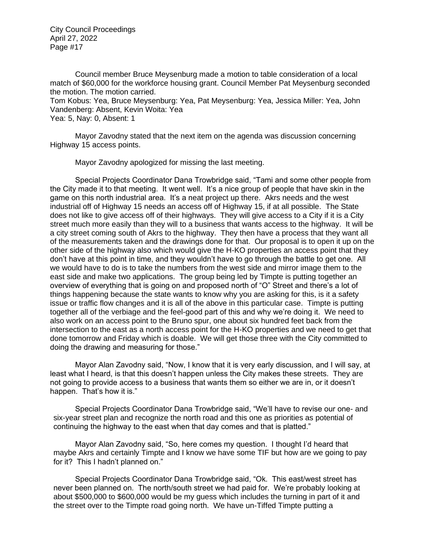Council member Bruce Meysenburg made a motion to table consideration of a local match of \$60,000 for the workforce housing grant. Council Member Pat Meysenburg seconded the motion. The motion carried.

Tom Kobus: Yea, Bruce Meysenburg: Yea, Pat Meysenburg: Yea, Jessica Miller: Yea, John Vandenberg: Absent, Kevin Woita: Yea

Yea: 5, Nay: 0, Absent: 1

Mayor Zavodny stated that the next item on the agenda was discussion concerning Highway 15 access points.

Mayor Zavodny apologized for missing the last meeting.

Special Projects Coordinator Dana Trowbridge said, "Tami and some other people from the City made it to that meeting. It went well. It's a nice group of people that have skin in the game on this north industrial area. It's a neat project up there. Akrs needs and the west industrial off of Highway 15 needs an access off of Highway 15, if at all possible. The State does not like to give access off of their highways. They will give access to a City if it is a City street much more easily than they will to a business that wants access to the highway. It will be a city street coming south of Akrs to the highway. They then have a process that they want all of the measurements taken and the drawings done for that. Our proposal is to open it up on the other side of the highway also which would give the H-KO properties an access point that they don't have at this point in time, and they wouldn't have to go through the battle to get one. All we would have to do is to take the numbers from the west side and mirror image them to the east side and make two applications. The group being led by Timpte is putting together an overview of everything that is going on and proposed north of "O" Street and there's a lot of things happening because the state wants to know why you are asking for this, is it a safety issue or traffic flow changes and it is all of the above in this particular case. Timpte is putting together all of the verbiage and the feel-good part of this and why we're doing it. We need to also work on an access point to the Bruno spur, one about six hundred feet back from the intersection to the east as a north access point for the H-KO properties and we need to get that done tomorrow and Friday which is doable. We will get those three with the City committed to doing the drawing and measuring for those."

Mayor Alan Zavodny said, "Now, I know that it is very early discussion, and I will say, at least what I heard, is that this doesn't happen unless the City makes these streets. They are not going to provide access to a business that wants them so either we are in, or it doesn't happen. That's how it is."

Special Projects Coordinator Dana Trowbridge said, "We'll have to revise our one- and six-year street plan and recognize the north road and this one as priorities as potential of continuing the highway to the east when that day comes and that is platted."

Mayor Alan Zavodny said, "So, here comes my question. I thought I'd heard that maybe Akrs and certainly Timpte and I know we have some TIF but how are we going to pay for it? This I hadn't planned on."

Special Projects Coordinator Dana Trowbridge said, "Ok. This east/west street has never been planned on. The north/south street we had paid for. We're probably looking at about \$500,000 to \$600,000 would be my guess which includes the turning in part of it and the street over to the Timpte road going north. We have un-Tiffed Timpte putting a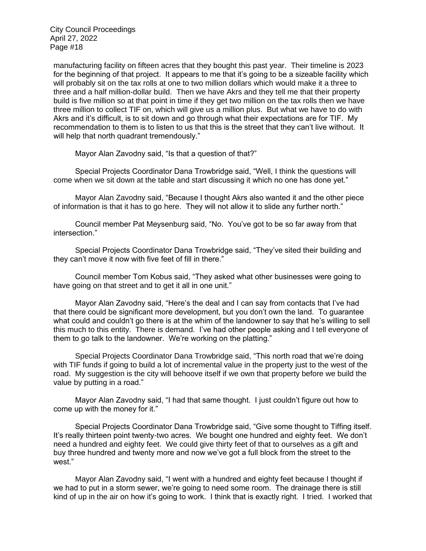manufacturing facility on fifteen acres that they bought this past year. Their timeline is 2023 for the beginning of that project. It appears to me that it's going to be a sizeable facility which will probably sit on the tax rolls at one to two million dollars which would make it a three to three and a half million-dollar build. Then we have Akrs and they tell me that their property build is five million so at that point in time if they get two million on the tax rolls then we have three million to collect TIF on, which will give us a million plus. But what we have to do with Akrs and it's difficult, is to sit down and go through what their expectations are for TIF. My recommendation to them is to listen to us that this is the street that they can't live without. It will help that north quadrant tremendously."

Mayor Alan Zavodny said, "Is that a question of that?"

Special Projects Coordinator Dana Trowbridge said, "Well, I think the questions will come when we sit down at the table and start discussing it which no one has done yet."

Mayor Alan Zavodny said, "Because I thought Akrs also wanted it and the other piece of information is that it has to go here. They will not allow it to slide any further north."

Council member Pat Meysenburg said, "No. You've got to be so far away from that intersection."

Special Projects Coordinator Dana Trowbridge said, "They've sited their building and they can't move it now with five feet of fill in there."

Council member Tom Kobus said, "They asked what other businesses were going to have going on that street and to get it all in one unit."

Mayor Alan Zavodny said, "Here's the deal and I can say from contacts that I've had that there could be significant more development, but you don't own the land. To guarantee what could and couldn't go there is at the whim of the landowner to say that he's willing to sell this much to this entity. There is demand. I've had other people asking and I tell everyone of them to go talk to the landowner. We're working on the platting."

Special Projects Coordinator Dana Trowbridge said, "This north road that we're doing with TIF funds if going to build a lot of incremental value in the property just to the west of the road. My suggestion is the city will behoove itself if we own that property before we build the value by putting in a road."

Mayor Alan Zavodny said, "I had that same thought. I just couldn't figure out how to come up with the money for it."

Special Projects Coordinator Dana Trowbridge said, "Give some thought to Tiffing itself. It's really thirteen point twenty-two acres. We bought one hundred and eighty feet. We don't need a hundred and eighty feet. We could give thirty feet of that to ourselves as a gift and buy three hundred and twenty more and now we've got a full block from the street to the west."

Mayor Alan Zavodny said, "I went with a hundred and eighty feet because I thought if we had to put in a storm sewer, we're going to need some room. The drainage there is still kind of up in the air on how it's going to work. I think that is exactly right. I tried. I worked that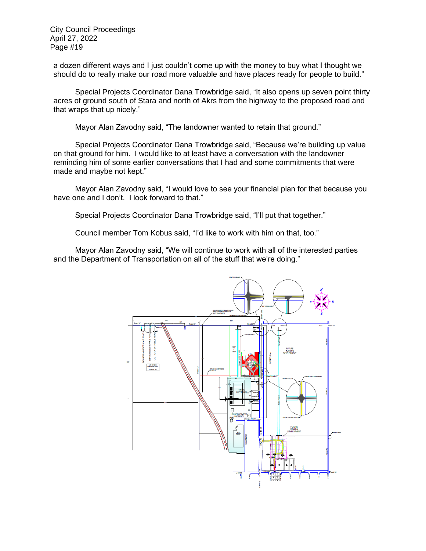a dozen different ways and I just couldn't come up with the money to buy what I thought we should do to really make our road more valuable and have places ready for people to build."

Special Projects Coordinator Dana Trowbridge said, "It also opens up seven point thirty acres of ground south of Stara and north of Akrs from the highway to the proposed road and that wraps that up nicely."

Mayor Alan Zavodny said, "The landowner wanted to retain that ground."

Special Projects Coordinator Dana Trowbridge said, "Because we're building up value on that ground for him. I would like to at least have a conversation with the landowner reminding him of some earlier conversations that I had and some commitments that were made and maybe not kept."

Mayor Alan Zavodny said, "I would love to see your financial plan for that because you have one and I don't. I look forward to that."

Special Projects Coordinator Dana Trowbridge said, "I'll put that together."

Council member Tom Kobus said, "I'd like to work with him on that, too."

Mayor Alan Zavodny said, "We will continue to work with all of the interested parties and the Department of Transportation on all of the stuff that we're doing."